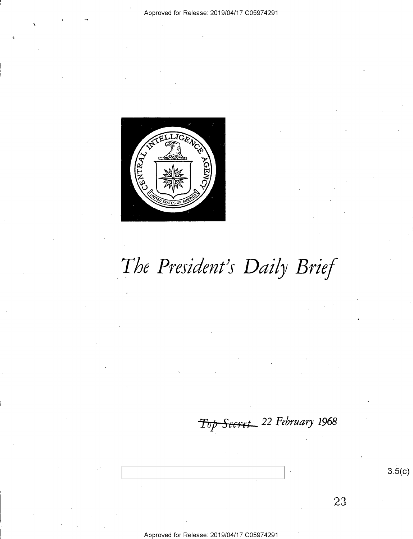

# The President's Daily Brief

Secret 22 February 1968  $\tau_{\hspace{-0.3mm}\textit{\scriptsize{top}}}$ 

23

 $3.5(c)$ 

Approved for Release: 2019/04/17 C05974291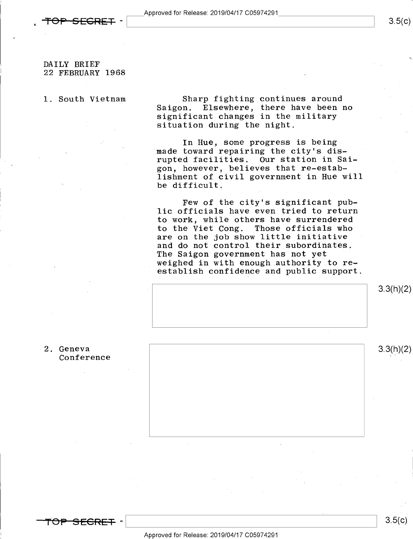DAILY BRIEF 22 FEBRUARY 1968

1. South Vietnam

Sharp fighting continues around<br>Saigon. Elsewhere, there have been Elsewhere, there have been no significant changes in the military situation during the night.

In Hue, some progress is being made toward repairing the city's disrupted facilities. Our station in Saigon, however, believes that re-establishment of civil government in Hue will be difficult.

Few of the city's significant public officials have even tried to return to work, while others have surrendered to the Viet Cong. Those officials who are on the job show little initiative and do not control their subordinates, The Saigon government has not yet weighed in with enough.authority to re~ establish confidence and public support.



3.3(h)(2)

2. Geneva  $3.3(h)(2)$  Conference

<del>TOP SECRET</del> –

 $\frac{3.5(k)}{k}$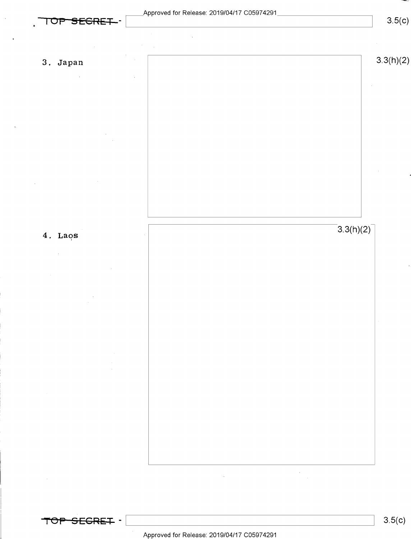

TO<del>P SEGRET</del> -

 $\mathcal{L}_{\mathcal{A}}$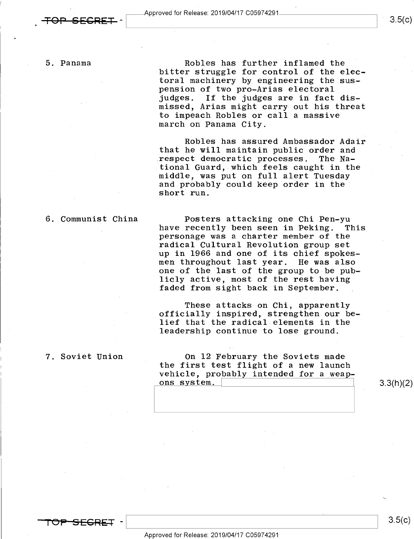$3.5(c)$ 

5. Panama Robles has further inflamed the bitter struggle for control of the electoral machinery by engineering the suspension of two pro-Arias electoral<br>judges. If the judges are in fact If the judges are in fact dismissed, Arias might carry out his threat to impeach Robles or call a massive march on Panama City.

> Robles has assured Ambassador Adair that he will maintain public order and .respect democratic processes. The National Guard, which feels caught in the and probably could keep order in the short run.

6. Communist China Posters attacking one Chi Pen-yu personage was a charter member of the radical Cultural Revolution group set up in 1966 and one of its chief spokesmen throughout last year. He was also one of the last of the group to be publicly active, most of the rest having faded from sight back in September.

> These attacks on Chi, apparently officially inspired, strengthen our belief that the radical elements in the leadership continue to lose ground.

7. Soviet Union On 12 February the Soviets made the first test flight of a new launch vehicle, probably intended for a weapons system.  $\qquad \qquad \qquad$  3.3(h)(2)

<del>OP SEGREI</del> -

 $\ddot{\phantom{0}}$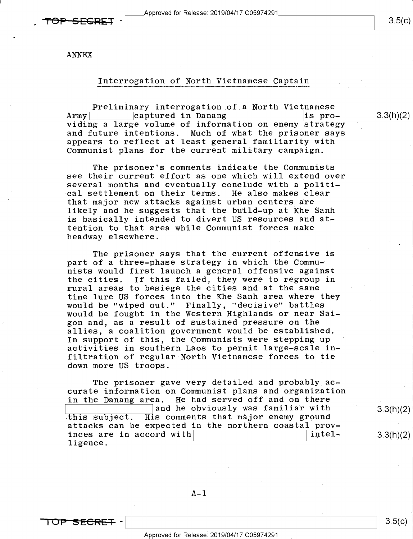ANNEX

### Interrogation of North Vietnamese Captain

 $\frac{\textbf{Preliminary} \text{ intervention of a North Vietnamese}}{\text{captured in Danang}}$  is pro-Army captured in Danang<br>Eising a lange uslume of information on apower stuates viding a large volume of information on enemy strategy and future intentions. Much of what the prisoner says appears to reflect at least general familiarity with Communist plans for the current military campaign.

The prisoner's comments indicate the Communists see their current effort as one which will extend over several months and eventually conclude with a political settlement on their terms. He also makes clear that major new attacks against urban centers are likely and he suggests that the build-up at Khe Sanh is basically intended to divert US resources and attention to that area while Communist forces make headway elsewhere.

The prisoner says that the current offensive is part of a three-phase strategy in which the Communists would first launch a general offensive against the cities. If this failed, they were to regroup in rural areas to besiege the cities and at the same time lure US forces into the Khe Sanh area where they would be "wiped out." Finally, "decisive" battles would be fought in the Western Highlands or near Saigon and, as a result of sustained pressure on the allies, a coalition government would be established. In support of this, the Communists were stepping up activities in southern Laos to permit large-scale infiltration of regular North Vietnamese forces to tie down more US troops.

The prisoner gave very detailed and probably accurate information on Communist plans and organization in the Danang area. He had served off and on there this subject. His comments that major enemy ground attacks can be expected in the northern coastal prov-<br>inces are in accord with inces are in accord with ligence. and he obviously was familiar with  $\hspace{1.6cm}$  3.3(h)(2)

3.3(h)(2)

 $\mathcal{L}$ 

3.3(h)(2)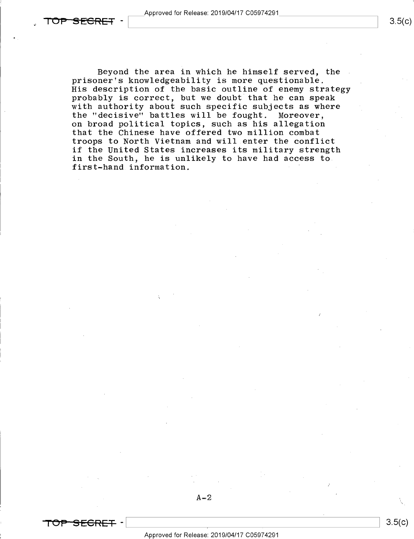Beyond the area in which he himself served, the prisoner's knowledgeability is more questionable. His description of the basic outline of enemy strategy probably is correct, but we doubt that he can speak with authority about such specific subjects as where the "decisive" battles will be fought. Moreover, on broad political topics, such as his allegation that the Chinese have offered two million combat troops to North Vietnam and will enter the conflict if the United States increases its military strength in the South, he is unlikely to have had access to first-hand information.

 $A-2$ 

 $\overline{\phantom{a}}$ 



'\

/

 $3.5(c)$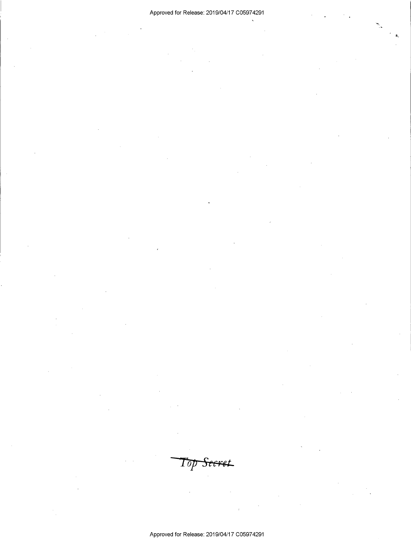Top Seeret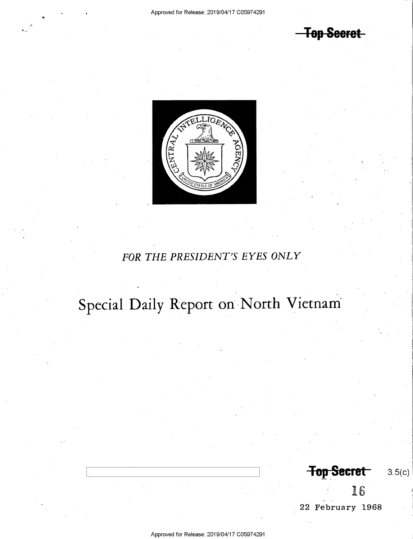**Top Secret** 



## FOR THE PRESIDENT'S EYES ONLY

# Special Daily Report on North Vietnam

**Top Secret**  $3.5(c)$ 16

22 February 1968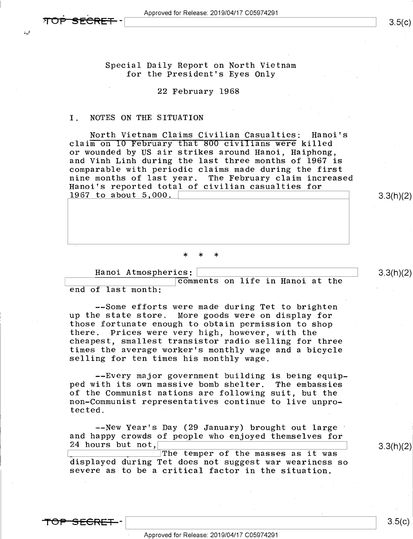Special Daily Report on North Vietnam for the President's Eyes Only

### 22 February 1968

### I. NOTES ON THE SITUATION

North Vietnam Claims Civilian Casualties: Hanoi's claim on IO February fhat 800 civiTians were killed or wounded by US air strikes around Hanoi, Haiphong, and Vinh Linh during the last three months of 1967 is comparable with periodic claims made during the first Hanoi's reported total of civilian casualties for 1967 to about  $5,000$ .  $3.3(h)(2)$ 

>|< \* \*

Hanoi Atmospherics: \

\_ \ \comments on life in Hanoi at the end of last month: '

--Some efforts were made during Tet to brighten<br>up the state store. More goods were on display for those fortunate enough to obtain permission to shop there. Prices were very high, however, with the cheapest, smallest transistor radio selling for three times the average worker's monthly wage and a bicycle selling for ten times his monthly wage.

--Every major government building is being equipped with its own massive bomb shelter. The embassies<br>of the Communist nations are following suit, but the non-Communist representatives continue to live unpro-<br>tected. tected. The contraction of the contraction of the contraction of the contraction of the contraction of the contraction of the contraction of the contraction of the contraction of the contraction of the contraction of the c

--New Year's Day (29 January) brought out large and happy crowds of people who enjoyed themselves for 24 hours but not,

 $\begin{array}{c} \begin{array}{c} \text{1} \\ \text{2} \\ \text{3} \\ \text{4} \end{array} \end{array}$  ,  $\begin{array}{c} \text{1} \\ \text{2} \\ \text{4} \\ \text{5} \\ \text{5} \\ \text{6} \\ \text{7} \\ \text{7} \\ \text{8} \\ \text{9} \\ \text{10} \\ \text{11} \\ \text{12} \\ \text{13} \\ \text{14} \\ \text{15} \\ \text{16} \\ \text{17} \\ \text{18} \\ \text{19} \\ \text{10} \\ \text{10} \\ \text{11} \\ \text{12} \\ \text{$ severe as to be a critical factor in the situation.

 $3.3(h)(2)$ 

<del>FOP SECRET :</del>

 $\frac{1}{8}$  3.9(c)

 $\frac{1}{2}$   $\frac{1}{2}$   $\frac{1}{2}$   $\frac{1}{2}$   $\frac{1}{2}$   $\frac{1}{2}$   $\frac{1}{2}$   $\frac{1}{2}$   $\frac{1}{2}$   $\frac{1}{2}$   $\frac{1}{2}$   $\frac{1}{2}$   $\frac{1}{2}$   $\frac{1}{2}$   $\frac{1}{2}$   $\frac{1}{2}$   $\frac{1}{2}$   $\frac{1}{2}$   $\frac{1}{2}$   $\frac{1}{2}$   $\frac{1}{2}$   $\frac{1}{2}$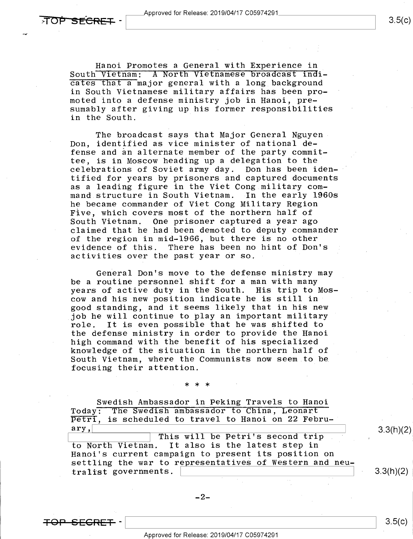Hanoi Promotes a General with Experience in<br>South Vietnam: A North Vietnamese broadcast indicates that a major general with a long background in South Vietnamese military affairs has been promoted into a defense ministry job in Hanoi, presumably after giving up his former responsibilities in the South.

The broadcast says that Major General Nguyen Don, identified as vice minister of national defense and an alternate member of the party committee, is in Moscow heading up a delegation to the<br>celebrations of Soviet army day. Don has been idencelebrations of Soviet army day. tified for years by prisoners and captured documents as a leading figure in the Viet Cong military command structure in South Vietnam. In the early 1960s he became commander of Viet Cong Military Region Five, which covers most of the northern half of South Vietnam. One prisoner captured a year ago claimed that he had been demoted to deputy commander of the region in mid-1966, but there is no other evidence of this. There has been no hint of Don's activities over the past year or so.

General Don's move to the defense ministry may be a routine personnel shift for a man with many years of active duty in the South. His trip to Moscow and his new position indicate he is still in good standing, and it seems likely that in his new job he will continue to play an important military<br>role. It is even possible that he was shifted to It is even possible that he was shifted to the defense ministry in order to provide the Hanoi high command with the benefit of his specialized knowledge of the situation in the northern half of South Vietnam, where the Communists now seem.to be focusing their attention.

## \*\*\*

Swedish Ambassador in Peking Travels to Hanoi Today: The Swedish ambassador to China, Leonart  $\overline{\text{Petri}}$ , is scheduled to travel to Hanoi on 22 Febru-<br>ary, This will be Petri's second trip .  $3.3(h)(2)$ 

to North Vietnam. It also is the latest step in Hanoi's current campaign to present its position on settling the war to representatives of Western and neutralist governments.  $\vert$  3.3(h)(2).

=Fe|=-e-Essa -\ \ 8-5(¢)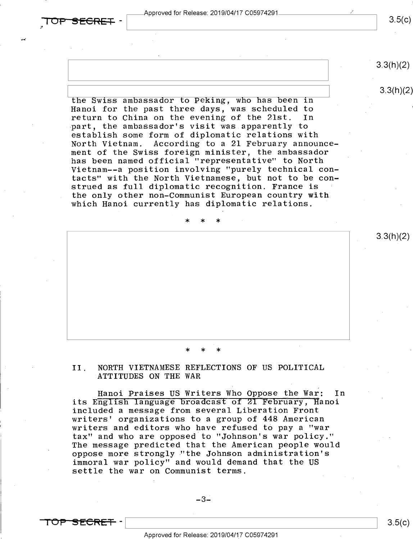1'

 $3.5(c)$ 

 $3.3(h)(2)$ 

3.3(h)(2)

 $\frac{3.3(11)(2)}{2.3(11)(2)}$ the Swiss ambassador to Peking, who has been in Hanoi for the past three days, was scheduled to return to China on the evening of the 21st. -part, the ambassador's visit was apparently to establish some form of diplomatic relations with According to a 21 February announcement of the Swiss foreign minister, the ambassador has been named official "representative" to North Vietnam--a position involving "purely technical contacts" with the North Vietnamese, but not to be construed as full diplomatic recognition. France is the only other non-Communist European country with which Hanoi currently has diplomatic relations.

\* \* \*

### \* \* \*

II. NORTH VIETNAMESE REFLECTIONS OF US POLITICAL ATTITUDES ON THE WAR

Hanoi Praises US Writers Who Oppose the War: In its English language broadcast of Z1 February, Hanoi included a message from several Liberation Front writers' organizations to a group of 448 American writers and editors who have refused to pay a "war tax" and who are opposed to "Johnson's war policy." The message predicted that the American people would oppose more strongly¢"the Johnson administration's immoral war policy" and would demand that the US settle the war on Communist terms.



 $\frac{1}{3.5(6)}$